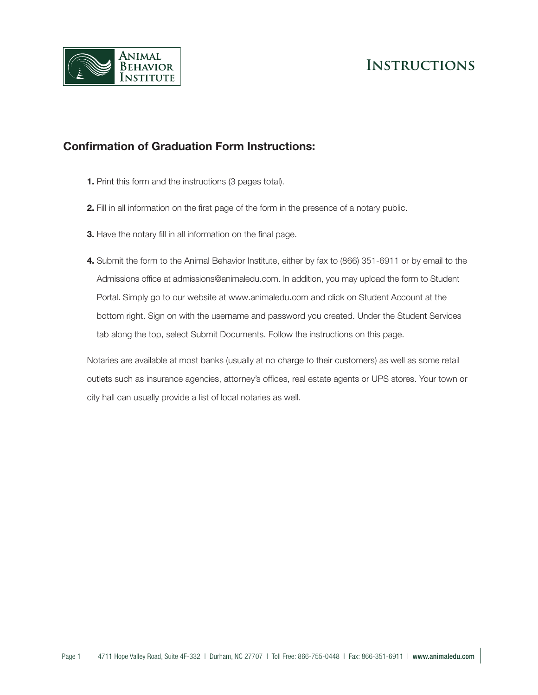



## **Confirmation of Graduation Form Instructions:**

- **1.** Print this form and the instructions (3 pages total).
- **2.** Fill in all information on the first page of the form in the presence of a notary public.
- **3.** Have the notary fill in all information on the final page.
- **4.** Submit the form to the Animal Behavior Institute, either by fax to (866) 351-6911 or by email to the Admissions office at admissions@animaledu.com. In addition, you may upload the form to Student Portal. Simply go to our website at www.animaledu.com and click on Student Account at the bottom right. Sign on with the username and password you created. Under the Student Services tab along the top, select Submit Documents. Follow the instructions on this page.

Notaries are available at most banks (usually at no charge to their customers) as well as some retail outlets such as insurance agencies, attorney's offices, real estate agents or UPS stores. Your town or city hall can usually provide a list of local notaries as well.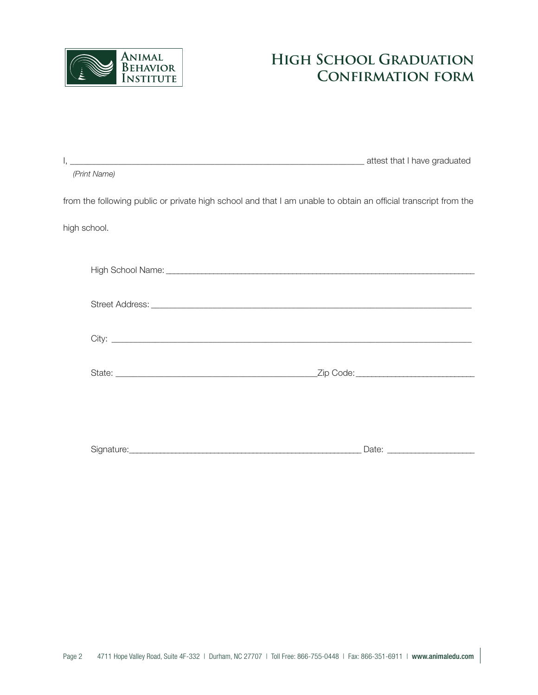

## **High School Graduation Confirmation form**

| (Print Name) |                                                                                                                 |
|--------------|-----------------------------------------------------------------------------------------------------------------|
|              | from the following public or private high school and that I am unable to obtain an official transcript from the |
| high school. |                                                                                                                 |
|              |                                                                                                                 |
|              |                                                                                                                 |
|              |                                                                                                                 |
|              |                                                                                                                 |
|              |                                                                                                                 |
|              |                                                                                                                 |